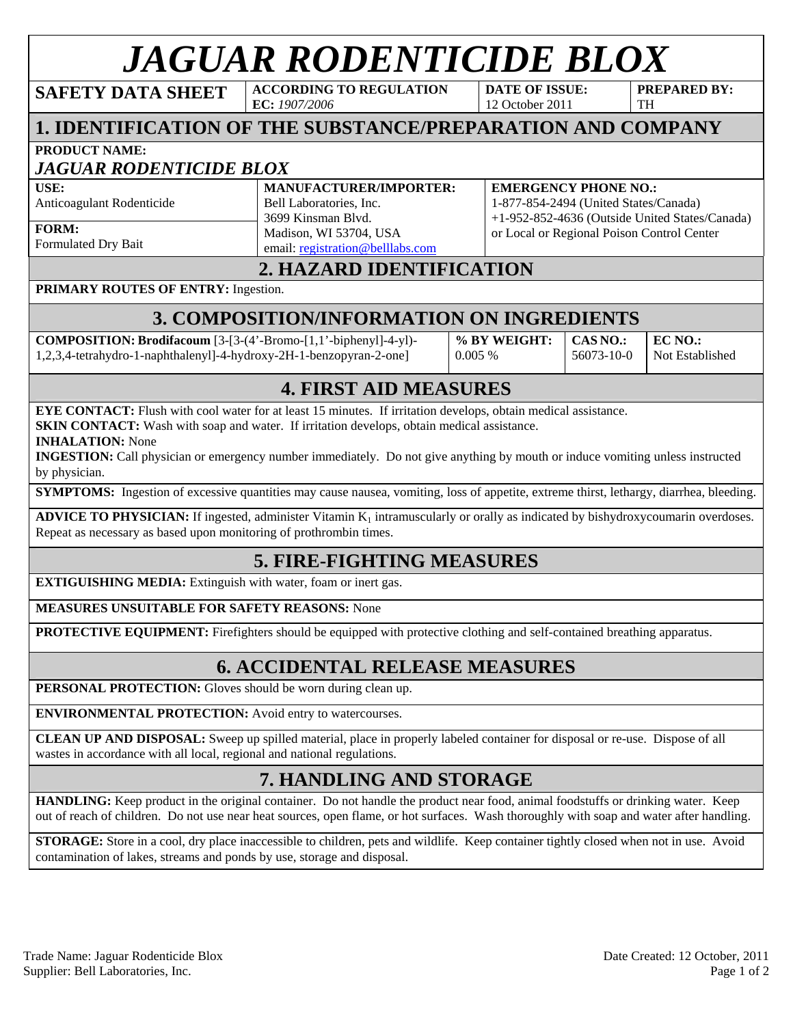# *JAGUAR RODENTICIDE BLOX*<br>DATA SHEET *ACCORDING TO REGULATION* DATE OF ISSUE: PREP.

**SAFETY DATA SHEET** 

**EC:** *1907/2006* 

**DATE OF ISSUE:**  12 October 2011

**PREPARED BY:**  TH

# **1. IDENTIFICATION OF THE SUBSTANCE/PREPARATION AND COMPANY**

**PRODUCT NAME:**

## *JAGUAR RODENTICIDE BLOX*

**USE:** 

Anticoagulant Rodenticide

**FORM:** 

Formulated Dry Bait

**MANUFACTURER/IMPORTER:**  Bell Laboratories, Inc. 3699 Kinsman Blvd. Madison, WI 53704, USA email: registration@belllabs.com

#### **EMERGENCY PHONE NO.:**

1-877-854-2494 (United States/Canada) +1-952-852-4636 (Outside United States/Canada) or Local or Regional Poison Control Center

## **2. HAZARD IDENTIFICATION**

### **PRIMARY ROUTES OF ENTRY:** Ingestion.

# **3. COMPOSITION/INFORMATION ON INGREDIENTS**

**COMPOSITION: Brodifacoum** [3-[3-(4'-Bromo-[1,1'-biphenyl]-4-yl)- 1,2,3,4-tetrahydro-1-naphthalenyl]-4-hydroxy-2H-1-benzopyran-2-one]

**% BY WEIGHT:**  0.005 %

**CAS NO.:**  56073-10-0 **EC NO.:**  Not Established

## **4. FIRST AID MEASURES**

**EYE CONTACT:** Flush with cool water for at least 15 minutes. If irritation develops, obtain medical assistance. **SKIN CONTACT:** Wash with soap and water. If irritation develops, obtain medical assistance.

**INHALATION:** None

**INGESTION:** Call physician or emergency number immediately. Do not give anything by mouth or induce vomiting unless instructed by physician.

**SYMPTOMS:** Ingestion of excessive quantities may cause nausea, vomiting, loss of appetite, extreme thirst, lethargy, diarrhea, bleeding.

**ADVICE TO PHYSICIAN:** If ingested, administer Vitamin K<sub>1</sub> intramuscularly or orally as indicated by bishydroxycoumarin overdoses. Repeat as necessary as based upon monitoring of prothrombin times.

# **5. FIRE-FIGHTING MEASURES**

**EXTIGUISHING MEDIA:** Extinguish with water, foam or inert gas.

#### **MEASURES UNSUITABLE FOR SAFETY REASONS:** None

**PROTECTIVE EQUIPMENT:** Firefighters should be equipped with protective clothing and self-contained breathing apparatus.

# **6. ACCIDENTAL RELEASE MEASURES**

**PERSONAL PROTECTION:** Gloves should be worn during clean up.

**ENVIRONMENTAL PROTECTION:** Avoid entry to watercourses.

**CLEAN UP AND DISPOSAL:** Sweep up spilled material, place in properly labeled container for disposal or re-use. Dispose of all wastes in accordance with all local, regional and national regulations.

# **7. HANDLING AND STORAGE**

**HANDLING:** Keep product in the original container. Do not handle the product near food, animal foodstuffs or drinking water. Keep out of reach of children. Do not use near heat sources, open flame, or hot surfaces. Wash thoroughly with soap and water after handling.

**STORAGE:** Store in a cool, dry place inaccessible to children, pets and wildlife. Keep container tightly closed when not in use. Avoid contamination of lakes, streams and ponds by use, storage and disposal.